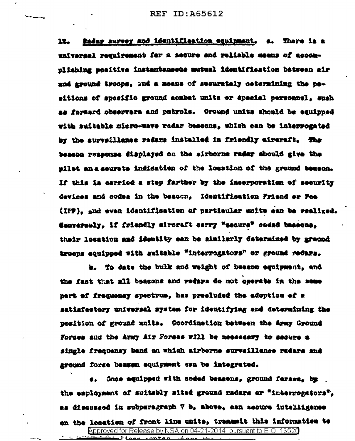Radar survey and identification equipment. a. There is a 12. universal requirement for a secure and reliable means of accomnliahing wesitive instantsmeets mutual identification between air and sround troops. Ind a means of securately cetermining the pesitions of specific ground combat units or special personnel, such as ferward observers and patrols. Ground units should be equipped with auitable micro-wave radar bescons. which can be interrogated by the surveillance radars installed in friendly aircraft. The besson reapense displayed on the airborne radar should give the nilet an a courate indication of the location of the ground beason. If this is carried a step farther by the incorporation of security devices and codes in the beacon. Identification Friend or Fee (IPP), and even identifiestion of partieuler units can be realized. Sanversely. If friendly sircraft carry "secure" coded beacona. their location and identity can be similarly determined by greund troeps equipped with suitable "interrogators" or ground redars.

b. To date the bulk and weight of beason eauipment, and the fact that all beacons and redars do not operate in the same part of frequency spectrum, has preeluded the adoption of a satiafactory universal system for identifying and determining the position of ground units. Coordination between the Army Ground Forces and the Army Air Forses will be necessary to secure a single frequency band on which airborne surveillance radars and ground forse beauen equipment can be integrated.

e. Once equipped with coded beasons, ground forses, by . the employment of suitably sited ground radars or "interrogators". as disquased in subparagraph 7 b, above, can secure intelligence en the location of front line units, transmit this information to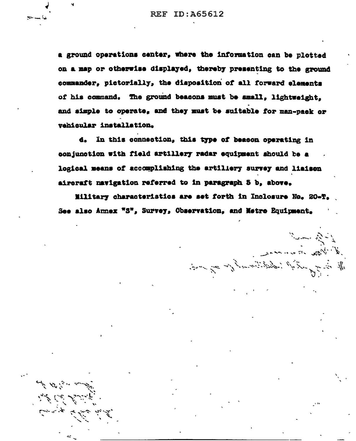a ground operations center, where the information can be plotted on a map or otherwise displayed, thereby presenting to the ground commander, pictorially, the disposition of all forward elements of his command. The ground beasons must be amall. lightweight. and simple to operate, and they must be suitable for man-pack or vehicular installation.

d. In this connection, this type of beacon operating in conjunction with field artillery radar equipment should be a logical means of accomplishing the artiliery survey and liaison aircraft navigation referred to in paragraph 5 b, above.

Military characteristics are set forth in Inclosure No. 20-T. See also Annex "S", Survey, Observation, and Netre Equipment.

معجز براد سي الم

 $\sum_{i=1}^N\sum_{j=1}^N\sum_{j=1}^N\sum_{j=1}^N\sum_{j=1}^N\sum_{j=1}^N\sum_{j=1}^N\sum_{j=1}^N\sum_{j=1}^N\sum_{j=1}^N\sum_{j=1}^N\sum_{j=1}^N\sum_{j=1}^N\sum_{j=1}^N\sum_{j=1}^N\sum_{j=1}^N\sum_{j=1}^N\sum_{j=1}^N\sum_{j=1}^N\sum_{j=1}^N\sum_{j=1}^N\sum_{j=1}^N\sum_{j=1}^N\sum_{j=1}^N\sum_{j$ 

A May in an an

I all the subject of the control of the same of the